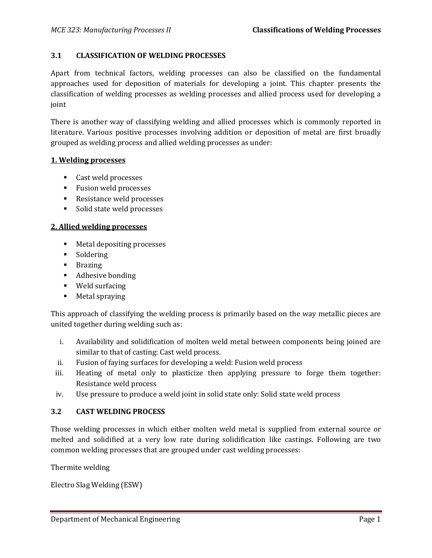## **3.1 CLASSIFICATION OF WELDING PROCESSES**

Apart from technical factors, welding processes can also be classified on the fundamental approaches used for deposition of materials for developing a joint. This chapter presents the classification of welding processes as welding processes and allied process used for developing a joint

There is another way of classifying welding and allied processes which is commonly reported in literature. Various positive processes involving addition or deposition of metal are first broadly grouped as welding process and allied welding processes as under:

#### **1. Welding processes**

- Cast weld processes
- **Fusion weld processes**
- Resistance weld processes
- **Solid state weld processes**

### **2. Allied welding processes**

- **Metal depositing processes**
- Soldering
- **Brazing**
- Adhesive bonding
- Weld surfacing
- **Metal spraying**

This approach of classifying the welding process is primarily based on the way metallic pieces are united together during welding such as:

- i. Availability and solidification of molten weld metal between components being joined are similar to that of casting: Cast weld process.
- ii. Fusion of faying surfaces for developing a weld: Fusion weld process
- iii. Heating of metal only to plasticize then applying pressure to forge them together: Resistance weld process
- iv. Use pressure to produce a weld joint in solid state only: Solid state weld process

### **3.2 CAST WELDING PROCESS**

Those welding processes in which either molten weld metal is supplied from external source or melted and solidified at a very low rate during solidification like castings. Following are two common welding processes that are grouped under cast welding processes:

Thermite welding

Electro Slag Welding (ESW)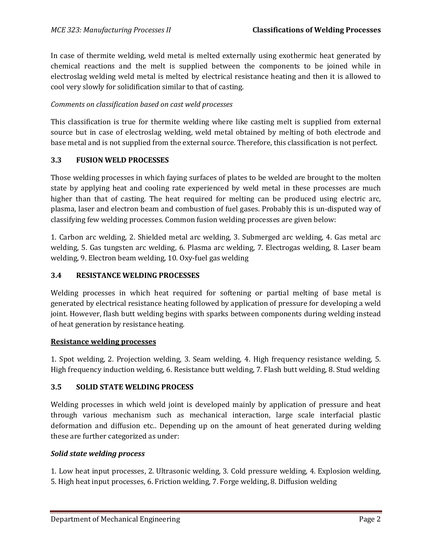In case of thermite welding, weld metal is melted externally using exothermic heat generated by chemical reactions and the melt is supplied between the components to be joined while in electroslag welding weld metal is melted by electrical resistance heating and then it is allowed to cool very slowly for solidification similar to that of casting.

## *Comments on classification based on cast weld processes*

This classification is true for thermite welding where like casting melt is supplied from external source but in case of electroslag welding, weld metal obtained by melting of both electrode and base metal and is not supplied from the external source. Therefore, this classification is not perfect.

### **3.3 FUSION WELD PROCESSES**

Those welding processes in which faying surfaces of plates to be welded are brought to the molten state by applying heat and cooling rate experienced by weld metal in these processes are much higher than that of casting. The heat required for melting can be produced using electric arc, plasma, laser and electron beam and combustion of fuel gases. Probably this is un-disputed way of classifying few welding processes. Common fusion welding processes are given below:

1. Carbon arc welding, 2. Shielded metal arc welding, 3. Submerged arc welding, 4. Gas metal arc welding, 5. Gas tungsten arc welding, 6. Plasma arc welding, 7. Electrogas welding, 8. Laser beam welding, 9. Electron beam welding, 10. Oxy-fuel gas welding

## **3.4 RESISTANCE WELDING PROCESSES**

Welding processes in which heat required for softening or partial melting of base metal is generated by electrical resistance heating followed by application of pressure for developing a weld joint. However, flash butt welding begins with sparks between components during welding instead of heat generation by resistance heating.

### **Resistance welding processes**

1. Spot welding, 2. Projection welding, 3. Seam welding, 4. High frequency resistance welding, 5. High frequency induction welding, 6. Resistance butt welding, 7. Flash butt welding, 8. Stud welding

## **3.5 SOLID STATE WELDING PROCESS**

Welding processes in which weld joint is developed mainly by application of pressure and heat through various mechanism such as mechanical interaction, large scale interfacial plastic deformation and diffusion etc.. Depending up on the amount of heat generated during welding these are further categorized as under:

## *Solid state welding process*

1. Low heat input processes, 2. Ultrasonic welding, 3. Cold pressure welding, 4. Explosion welding, 5. High heat input processes, 6. Friction welding, 7. Forge welding, 8. Diffusion welding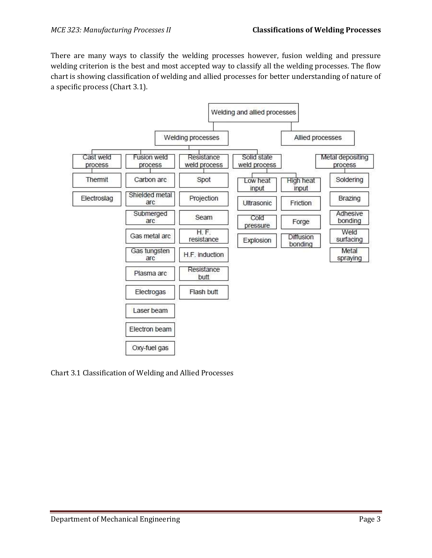There are many ways to classify the welding processes however, fusion welding and pressure welding criterion is the best and most accepted way to classify all the welding processes. The flow chart is showing classification of welding and allied processes for better understanding of nature of a specific process (Chart 3.1).



Chart 3.1 Classification of Welding and Allied Processes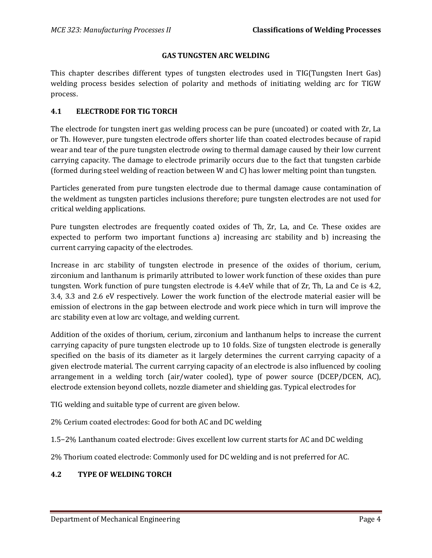### **GAS TUNGSTEN ARC WELDING**

This chapter describes different types of tungsten electrodes used in TIG(Tungsten Inert Gas) welding process besides selection of polarity and methods of initiating welding arc for TIGW process.

## **4.1 ELECTRODE FOR TIG TORCH**

The electrode for tungsten inert gas welding process can be pure (uncoated) or coated with Zr, La or Th. However, pure tungsten electrode offers shorter life than coated electrodes because of rapid wear and tear of the pure tungsten electrode owing to thermal damage caused by their low current carrying capacity. The damage to electrode primarily occurs due to the fact that tungsten carbide (formed during steel welding of reaction between W and C) has lower melting point than tungsten.

Particles generated from pure tungsten electrode due to thermal damage cause contamination of the weldment as tungsten particles inclusions therefore; pure tungsten electrodes are not used for critical welding applications.

Pure tungsten electrodes are frequently coated oxides of Th, Zr, La, and Ce. These oxides are expected to perform two important functions a) increasing arc stability and b) increasing the current carrying capacity of the electrodes.

Increase in arc stability of tungsten electrode in presence of the oxides of thorium, cerium, zirconium and lanthanum is primarily attributed to lower work function of these oxides than pure tungsten. Work function of pure tungsten electrode is 4.4eV while that of Zr, Th, La and Ce is 4.2, 3.4, 3.3 and 2.6 eV respectively. Lower the work function of the electrode material easier will be emission of electrons in the gap between electrode and work piece which in turn will improve the arc stability even at low arc voltage, and welding current.

Addition of the oxides of thorium, cerium, zirconium and lanthanum helps to increase the current carrying capacity of pure tungsten electrode up to 10 folds. Size of tungsten electrode is generally specified on the basis of its diameter as it largely determines the current carrying capacity of a given electrode material. The current carrying capacity of an electrode is also influenced by cooling arrangement in a welding torch (air/water cooled), type of power source (DCEP/DCEN, AC), electrode extension beyond collets, nozzle diameter and shielding gas. Typical electrodes for

TIG welding and suitable type of current are given below.

2% Cerium coated electrodes: Good for both AC and DC welding

1.5−2% Lanthanum coated electrode: Gives excellent low current starts for AC and DC welding

2% Thorium coated electrode: Commonly used for DC welding and is not preferred for AC.

## **4.2 TYPE OF WELDING TORCH**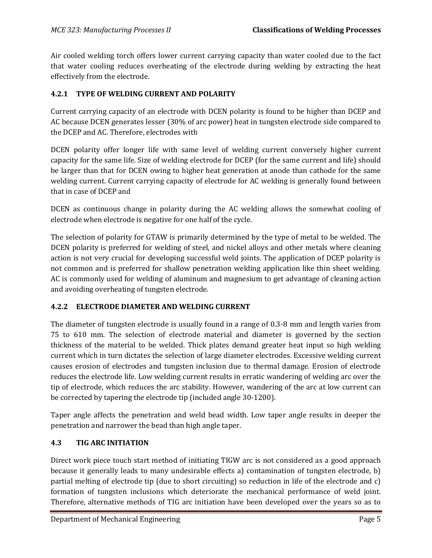Air cooled welding torch offers lower current carrying capacity than water cooled due to the fact that water cooling reduces overheating of the electrode during welding by extracting the heat effectively from the electrode.

# **4.2.1 TYPE OF WELDING CURRENT AND POLARITY**

Current carrying capacity of an electrode with DCEN polarity is found to be higher than DCEP and AC because DCEN generates lesser (30% of arc power) heat in tungsten electrode side compared to the DCEP and AC. Therefore, electrodes with

DCEN polarity offer longer life with same level of welding current conversely higher current capacity for the same life. Size of welding electrode for DCEP (for the same current and life) should be larger than that for DCEN owing to higher heat generation at anode than cathode for the same welding current. Current carrying capacity of electrode for AC welding is generally found between that in case of DCEP and

DCEN as continuous change in polarity during the AC welding allows the somewhat cooling of electrode when electrode is negative for one half of the cycle.

The selection of polarity for GTAW is primarily determined by the type of metal to be welded. The DCEN polarity is preferred for welding of steel, and nickel alloys and other metals where cleaning action is not very crucial for developing successful weld joints. The application of DCEP polarity is not common and is preferred for shallow penetration welding application like thin sheet welding. AC is commonly used for welding of aluminum and magnesium to get advantage of cleaning action and avoiding overheating of tungsten electrode.

# **4.2.2 ELECTRODE DIAMETER AND WELDING CURRENT**

The diameter of tungsten electrode is usually found in a range of 0.3-8 mm and length varies from 75 to 610 mm. The selection of electrode material and diameter is governed by the section thickness of the material to be welded. Thick plates demand greater heat input so high welding current which in turn dictates the selection of large diameter electrodes. Excessive welding current causes erosion of electrodes and tungsten inclusion due to thermal damage. Erosion of electrode reduces the electrode life. Low welding current results in erratic wandering of welding arc over the tip of electrode, which reduces the arc stability. However, wandering of the arc at low current can be corrected by tapering the electrode tip (included angle 30-1200).

Taper angle affects the penetration and weld bead width. Low taper angle results in deeper the penetration and narrower the bead than high angle taper.

# **4.3 TIG ARC INITIATION**

Direct work piece touch start method of initiating TIGW arc is not considered as a good approach because it generally leads to many undesirable effects a) contamination of tungsten electrode, b) partial melting of electrode tip (due to short circuiting) so reduction in life of the electrode and c) formation of tungsten inclusions which deteriorate the mechanical performance of weld joint. Therefore, alternative methods of TIG arc initiation have been developed over the years so as to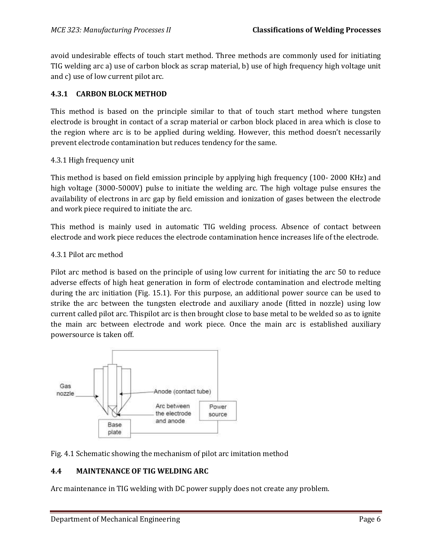avoid undesirable effects of touch start method. Three methods are commonly used for initiating TIG welding arc a) use of carbon block as scrap material, b) use of high frequency high voltage unit and c) use of low current pilot arc.

## **4.3.1 CARBON BLOCK METHOD**

This method is based on the principle similar to that of touch start method where tungsten electrode is brought in contact of a scrap material or carbon block placed in area which is close to the region where arc is to be applied during welding. However, this method doesn't necessarily prevent electrode contamination but reduces tendency for the same.

### 4.3.1 High frequency unit

This method is based on field emission principle by applying high frequency (100- 2000 KHz) and high voltage (3000-5000V) pulse to initiate the welding arc. The high voltage pulse ensures the availability of electrons in arc gap by field emission and ionization of gases between the electrode and work piece required to initiate the arc.

This method is mainly used in automatic TIG welding process. Absence of contact between electrode and work piece reduces the electrode contamination hence increases life of the electrode.

### 4.3.1 Pilot arc method

Pilot arc method is based on the principle of using low current for initiating the arc 50 to reduce adverse effects of high heat generation in form of electrode contamination and electrode melting during the arc initiation (Fig. 15.1). For this purpose, an additional power source can be used to strike the arc between the tungsten electrode and auxiliary anode (fitted in nozzle) using low current called pilot arc. Thispilot arc is then brought close to base metal to be welded so as to ignite the main arc between electrode and work piece. Once the main arc is established auxiliary powersource is taken off.



Fig. 4.1 Schematic showing the mechanism of pilot arc imitation method

# **4.4 MAINTENANCE OF TIG WELDING ARC**

Arc maintenance in TIG welding with DC power supply does not create any problem.